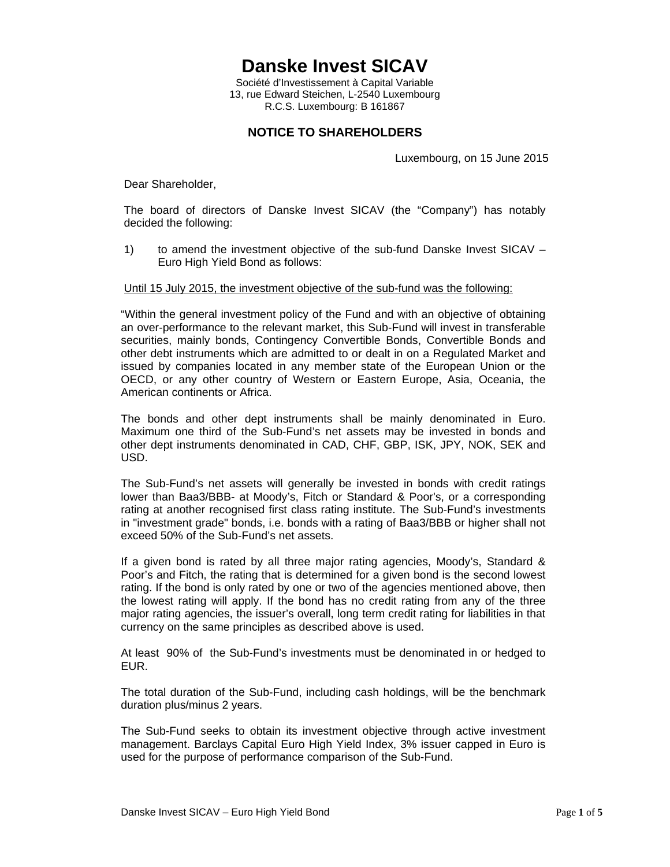**Danske Invest SICAV** 

Société d'Investissement à Capital Variable 13, rue Edward Steichen, L-2540 Luxembourg R.C.S. Luxembourg: B 161867

## **NOTICE TO SHAREHOLDERS**

Luxembourg, on 15 June 2015

Dear Shareholder,

The board of directors of Danske Invest SICAV (the "Company") has notably decided the following:

1) to amend the investment objective of the sub-fund Danske Invest SICAV – Euro High Yield Bond as follows:

## Until 15 July 2015, the investment objective of the sub-fund was the following:

"Within the general investment policy of the Fund and with an objective of obtaining an over-performance to the relevant market, this Sub-Fund will invest in transferable securities, mainly bonds, Contingency Convertible Bonds, Convertible Bonds and other debt instruments which are admitted to or dealt in on a Regulated Market and issued by companies located in any member state of the European Union or the OECD, or any other country of Western or Eastern Europe, Asia, Oceania, the American continents or Africa.

The bonds and other dept instruments shall be mainly denominated in Euro. Maximum one third of the Sub-Fund's net assets may be invested in bonds and other dept instruments denominated in CAD, CHF, GBP, ISK, JPY, NOK, SEK and USD.

The Sub-Fund's net assets will generally be invested in bonds with credit ratings lower than Baa3/BBB- at Moody's, Fitch or Standard & Poor's, or a corresponding rating at another recognised first class rating institute. The Sub-Fund's investments in "investment grade" bonds, i.e. bonds with a rating of Baa3/BBB or higher shall not exceed 50% of the Sub-Fund's net assets.

If a given bond is rated by all three major rating agencies, Moody's, Standard & Poor's and Fitch, the rating that is determined for a given bond is the second lowest rating. If the bond is only rated by one or two of the agencies mentioned above, then the lowest rating will apply. If the bond has no credit rating from any of the three major rating agencies, the issuer's overall, long term credit rating for liabilities in that currency on the same principles as described above is used.

At least 90% of the Sub-Fund's investments must be denominated in or hedged to EUR.

The total duration of the Sub-Fund, including cash holdings, will be the benchmark duration plus/minus 2 years.

The Sub-Fund seeks to obtain its investment objective through active investment management. Barclays Capital Euro High Yield Index, 3% issuer capped in Euro is used for the purpose of performance comparison of the Sub-Fund.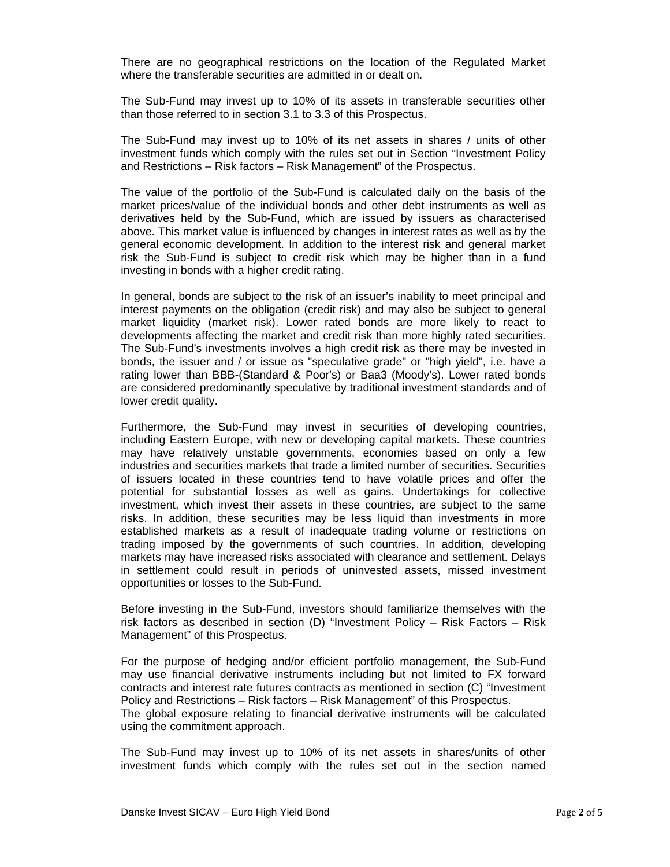There are no geographical restrictions on the location of the Regulated Market where the transferable securities are admitted in or dealt on.

The Sub-Fund may invest up to 10% of its assets in transferable securities other than those referred to in section 3.1 to 3.3 of this Prospectus.

The Sub-Fund may invest up to 10% of its net assets in shares / units of other investment funds which comply with the rules set out in Section "Investment Policy and Restrictions – Risk factors – Risk Management" of the Prospectus.

The value of the portfolio of the Sub-Fund is calculated daily on the basis of the market prices/value of the individual bonds and other debt instruments as well as derivatives held by the Sub-Fund, which are issued by issuers as characterised above. This market value is influenced by changes in interest rates as well as by the general economic development. In addition to the interest risk and general market risk the Sub-Fund is subject to credit risk which may be higher than in a fund investing in bonds with a higher credit rating.

In general, bonds are subject to the risk of an issuer's inability to meet principal and interest payments on the obligation (credit risk) and may also be subject to general market liquidity (market risk). Lower rated bonds are more likely to react to developments affecting the market and credit risk than more highly rated securities. The Sub-Fund's investments involves a high credit risk as there may be invested in bonds, the issuer and / or issue as "speculative grade" or "high yield", i.e. have a rating lower than BBB-(Standard & Poor's) or Baa3 (Moody's). Lower rated bonds are considered predominantly speculative by traditional investment standards and of lower credit quality.

Furthermore, the Sub-Fund may invest in securities of developing countries, including Eastern Europe, with new or developing capital markets. These countries may have relatively unstable governments, economies based on only a few industries and securities markets that trade a limited number of securities. Securities of issuers located in these countries tend to have volatile prices and offer the potential for substantial losses as well as gains. Undertakings for collective investment, which invest their assets in these countries, are subject to the same risks. In addition, these securities may be less liquid than investments in more established markets as a result of inadequate trading volume or restrictions on trading imposed by the governments of such countries. In addition, developing markets may have increased risks associated with clearance and settlement. Delays in settlement could result in periods of uninvested assets, missed investment opportunities or losses to the Sub-Fund.

Before investing in the Sub-Fund, investors should familiarize themselves with the risk factors as described in section (D) "Investment Policy – Risk Factors – Risk Management" of this Prospectus.

For the purpose of hedging and/or efficient portfolio management, the Sub-Fund may use financial derivative instruments including but not limited to FX forward contracts and interest rate futures contracts as mentioned in section (C) "Investment Policy and Restrictions – Risk factors – Risk Management" of this Prospectus. The global exposure relating to financial derivative instruments will be calculated using the commitment approach.

The Sub-Fund may invest up to 10% of its net assets in shares/units of other investment funds which comply with the rules set out in the section named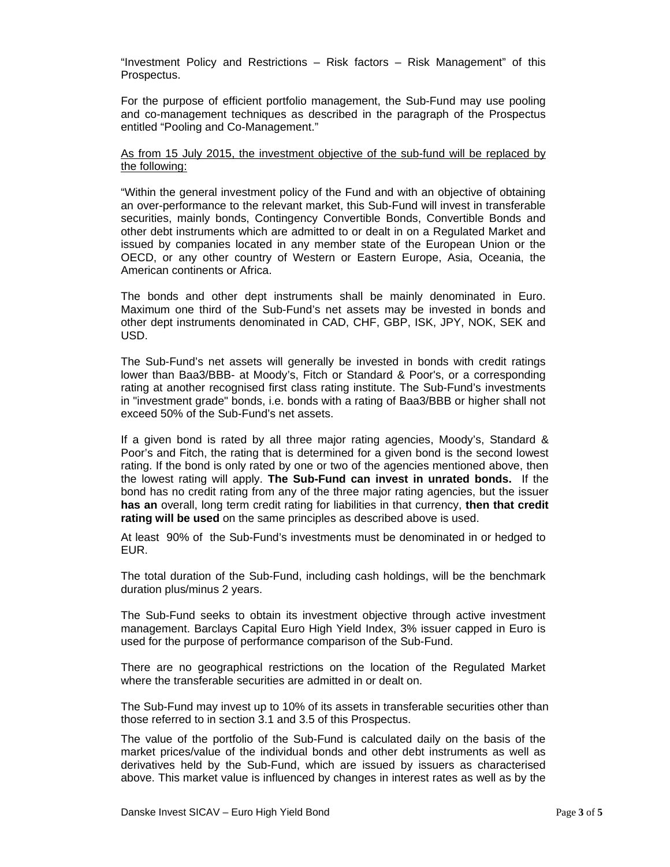"Investment Policy and Restrictions – Risk factors – Risk Management" of this Prospectus.

For the purpose of efficient portfolio management, the Sub-Fund may use pooling and co-management techniques as described in the paragraph of the Prospectus entitled "Pooling and Co-Management."

## As from 15 July 2015, the investment objective of the sub-fund will be replaced by the following:

"Within the general investment policy of the Fund and with an objective of obtaining an over-performance to the relevant market, this Sub-Fund will invest in transferable securities, mainly bonds, Contingency Convertible Bonds, Convertible Bonds and other debt instruments which are admitted to or dealt in on a Regulated Market and issued by companies located in any member state of the European Union or the OECD, or any other country of Western or Eastern Europe, Asia, Oceania, the American continents or Africa.

The bonds and other dept instruments shall be mainly denominated in Euro. Maximum one third of the Sub-Fund's net assets may be invested in bonds and other dept instruments denominated in CAD, CHF, GBP, ISK, JPY, NOK, SEK and USD.

The Sub-Fund's net assets will generally be invested in bonds with credit ratings lower than Baa3/BBB- at Moody's, Fitch or Standard & Poor's, or a corresponding rating at another recognised first class rating institute. The Sub-Fund's investments in "investment grade" bonds, i.e. bonds with a rating of Baa3/BBB or higher shall not exceed 50% of the Sub-Fund's net assets.

If a given bond is rated by all three major rating agencies, Moody's, Standard & Poor's and Fitch, the rating that is determined for a given bond is the second lowest rating. If the bond is only rated by one or two of the agencies mentioned above, then the lowest rating will apply. **The Sub-Fund can invest in unrated bonds.** If the bond has no credit rating from any of the three major rating agencies, but the issuer **has an** overall, long term credit rating for liabilities in that currency, **then that credit rating will be used** on the same principles as described above is used.

At least 90% of the Sub-Fund's investments must be denominated in or hedged to EUR.

The total duration of the Sub-Fund, including cash holdings, will be the benchmark duration plus/minus 2 years.

The Sub-Fund seeks to obtain its investment objective through active investment management. Barclays Capital Euro High Yield Index, 3% issuer capped in Euro is used for the purpose of performance comparison of the Sub-Fund.

There are no geographical restrictions on the location of the Regulated Market where the transferable securities are admitted in or dealt on.

The Sub-Fund may invest up to 10% of its assets in transferable securities other than those referred to in section 3.1 and 3.5 of this Prospectus.

The value of the portfolio of the Sub-Fund is calculated daily on the basis of the market prices/value of the individual bonds and other debt instruments as well as derivatives held by the Sub-Fund, which are issued by issuers as characterised above. This market value is influenced by changes in interest rates as well as by the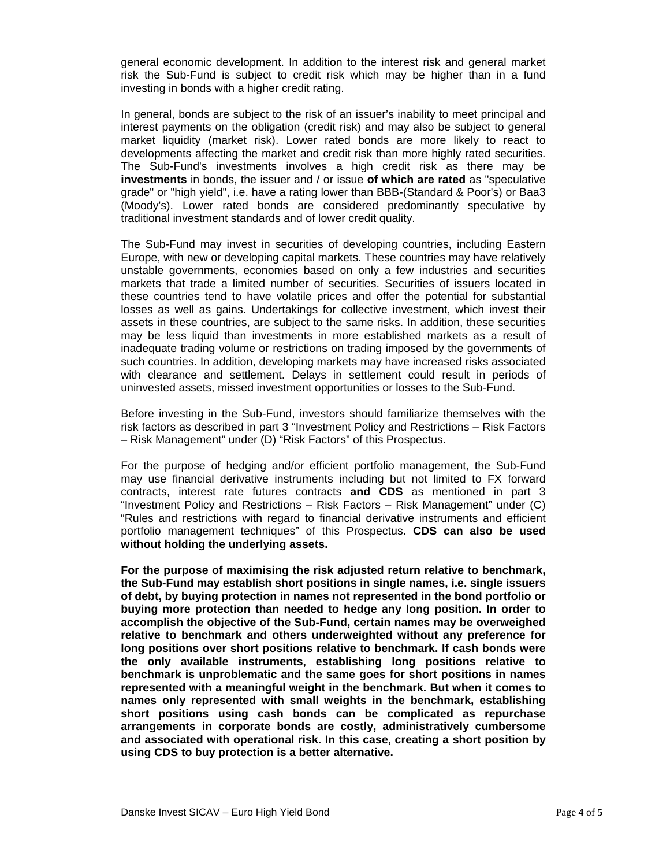general economic development. In addition to the interest risk and general market risk the Sub-Fund is subject to credit risk which may be higher than in a fund investing in bonds with a higher credit rating.

In general, bonds are subject to the risk of an issuer's inability to meet principal and interest payments on the obligation (credit risk) and may also be subject to general market liquidity (market risk). Lower rated bonds are more likely to react to developments affecting the market and credit risk than more highly rated securities. The Sub-Fund's investments involves a high credit risk as there may be **investments** in bonds, the issuer and / or issue **of which are rated** as "speculative grade" or "high yield", i.e. have a rating lower than BBB-(Standard & Poor's) or Baa3 (Moody's). Lower rated bonds are considered predominantly speculative by traditional investment standards and of lower credit quality.

The Sub-Fund may invest in securities of developing countries, including Eastern Europe, with new or developing capital markets. These countries may have relatively unstable governments, economies based on only a few industries and securities markets that trade a limited number of securities. Securities of issuers located in these countries tend to have volatile prices and offer the potential for substantial losses as well as gains. Undertakings for collective investment, which invest their assets in these countries, are subject to the same risks. In addition, these securities may be less liquid than investments in more established markets as a result of inadequate trading volume or restrictions on trading imposed by the governments of such countries. In addition, developing markets may have increased risks associated with clearance and settlement. Delays in settlement could result in periods of uninvested assets, missed investment opportunities or losses to the Sub-Fund.

Before investing in the Sub-Fund, investors should familiarize themselves with the risk factors as described in part 3 "Investment Policy and Restrictions – Risk Factors – Risk Management" under (D) "Risk Factors" of this Prospectus.

For the purpose of hedging and/or efficient portfolio management, the Sub-Fund may use financial derivative instruments including but not limited to FX forward contracts, interest rate futures contracts **and CDS** as mentioned in part 3 "Investment Policy and Restrictions – Risk Factors – Risk Management" under (C) "Rules and restrictions with regard to financial derivative instruments and efficient portfolio management techniques" of this Prospectus. **CDS can also be used without holding the underlying assets.**

**For the purpose of maximising the risk adjusted return relative to benchmark, the Sub-Fund may establish short positions in single names, i.e. single issuers of debt, by buying protection in names not represented in the bond portfolio or buying more protection than needed to hedge any long position. In order to accomplish the objective of the Sub-Fund, certain names may be overweighed relative to benchmark and others underweighted without any preference for long positions over short positions relative to benchmark. If cash bonds were the only available instruments, establishing long positions relative to benchmark is unproblematic and the same goes for short positions in names represented with a meaningful weight in the benchmark. But when it comes to names only represented with small weights in the benchmark, establishing short positions using cash bonds can be complicated as repurchase arrangements in corporate bonds are costly, administratively cumbersome and associated with operational risk. In this case, creating a short position by using CDS to buy protection is a better alternative.**